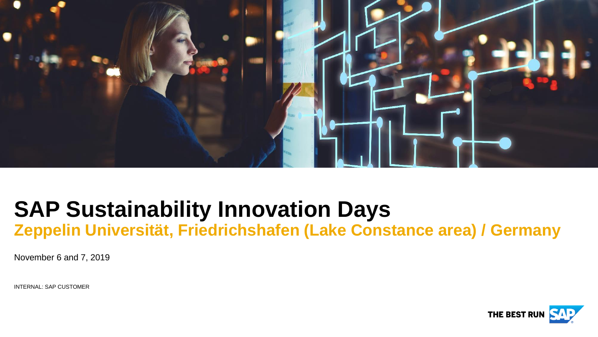

## **SAP Sustainability Innovation Days Zeppelin Universität, Friedrichshafen (Lake Constance area) / Germany**

November 6 and 7, 2019

INTERNAL: SAP CUSTOMER

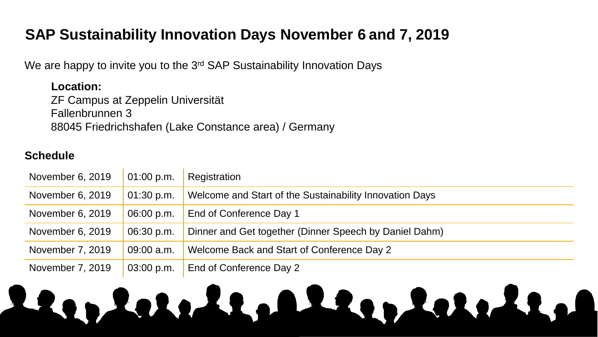### **SAP Sustainability Innovation Days November 6 and 7, 2019**

We are happy to invite you to the 3<sup>rd</sup> SAP Sustainability Innovation Days

**Location:** ZF Campus at Zeppelin Universität Fallenbrunnen 3 88045 Friedrichshafen (Lake Constance area) / Germany

#### **Schedule**

| November 6, 2019 | 01:00 p.m. | Registration                                            |
|------------------|------------|---------------------------------------------------------|
| November 6, 2019 | 01:30 p.m. | Welcome and Start of the Sustainability Innovation Days |
| November 6, 2019 | 06:00 p.m. | End of Conference Day 1                                 |
| November 6, 2019 | 06:30 p.m. | Dinner and Get together (Dinner Speech by Daniel Dahm)  |
| November 7, 2019 | 09:00 a.m. | Welcome Back and Start of Conference Day 2              |
| November 7, 2019 | 03:00 p.m. | End of Conference Day 2                                 |

## Leo Luid Leo Leo Luid La  $\mathcal{L}$  . All rights reserved. All rights reserved. All rights reserved. All rights reserved.  $\mathcal{L}$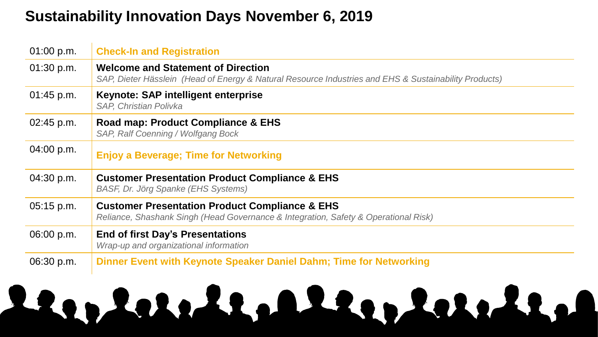#### **Sustainability Innovation Days November 6, 2019**

| 01:00 p.m. | <b>Check-In and Registration</b>                                                                                                                   |  |  |  |  |  |
|------------|----------------------------------------------------------------------------------------------------------------------------------------------------|--|--|--|--|--|
| 01:30 p.m. | <b>Welcome and Statement of Direction</b><br>SAP, Dieter Hässlein (Head of Energy & Natural Resource Industries and EHS & Sustainability Products) |  |  |  |  |  |
| 01:45 p.m. | Keynote: SAP intelligent enterprise<br><b>SAP, Christian Polivka</b>                                                                               |  |  |  |  |  |
| 02:45 p.m. | Road map: Product Compliance & EHS<br><b>SAP, Ralf Coenning / Wolfgang Bock</b>                                                                    |  |  |  |  |  |
| 04:00 p.m. | <b>Enjoy a Beverage; Time for Networking</b>                                                                                                       |  |  |  |  |  |
| 04:30 p.m. | <b>Customer Presentation Product Compliance &amp; EHS</b><br><b>BASF, Dr. Jörg Spanke (EHS Systems)</b>                                            |  |  |  |  |  |
| 05:15 p.m. | <b>Customer Presentation Product Compliance &amp; EHS</b><br>Reliance, Shashank Singh (Head Governance & Integration, Safety & Operational Risk)   |  |  |  |  |  |
| 06:00 p.m. | <b>End of first Day's Presentations</b><br>Wrap-up and organizational information                                                                  |  |  |  |  |  |
| 06:30 p.m. | Dinner Event with Keynote Speaker Daniel Dahm; Time for Networking                                                                                 |  |  |  |  |  |
|            |                                                                                                                                                    |  |  |  |  |  |

## Leo Luid Leo Leo Luid La  $\mathcal{L}$  . The same served or an SAP affiliate company. All rights reserved.  $\mathcal{L}$  is a served. Same served. Same served. All rights reserved. All rights reserved. All rights reserved. Same served. Same served. Same ser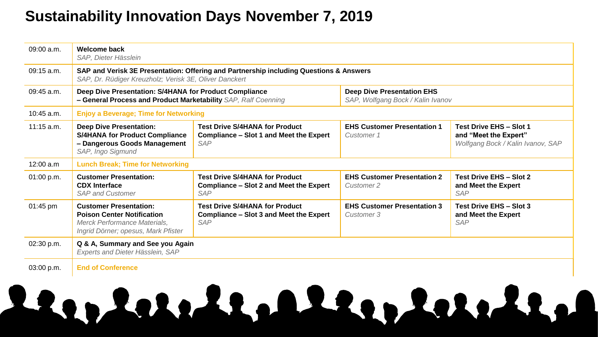### **Sustainability Innovation Days November 7, 2019**

| 09:00 a.m.         | <b>Welcome back</b><br>SAP, Dieter Hässlein                                                                                                      |                                                                                                       |                                                                        |                                                                                              |  |  |
|--------------------|--------------------------------------------------------------------------------------------------------------------------------------------------|-------------------------------------------------------------------------------------------------------|------------------------------------------------------------------------|----------------------------------------------------------------------------------------------|--|--|
| $09:15$ a.m.       | SAP and Verisk 3E Presentation: Offering and Partnership including Questions & Answers<br>SAP, Dr. Rüdiger Kreuzholz; Verisk 3E, Oliver Danckert |                                                                                                       |                                                                        |                                                                                              |  |  |
| $09:45$ a.m.       | Deep Dive Presentation: S/4HANA for Product Compliance<br>- General Process and Product Marketability SAP, Ralf Coenning                         |                                                                                                       | <b>Deep Dive Presentation EHS</b><br>SAP, Wolfgang Bock / Kalin Ivanov |                                                                                              |  |  |
| $10:45$ a.m.       | <b>Enjoy a Beverage; Time for Networking</b>                                                                                                     |                                                                                                       |                                                                        |                                                                                              |  |  |
| $11:15$ a.m.       | <b>Deep Dive Presentation:</b><br><b>S/4HANA for Product Compliance</b><br>- Dangerous Goods Management<br>SAP, Ingo Sigmund                     | <b>Test Drive S/4HANA for Product</b><br><b>Compliance - Slot 1 and Meet the Expert</b><br><b>SAP</b> | <b>EHS Customer Presentation 1</b><br><b>Customer 1</b>                | <b>Test Drive EHS - Slot 1</b><br>and "Meet the Expert"<br>Wolfgang Bock / Kalin Ivanov, SAP |  |  |
| 12:00 a.m          | <b>Lunch Break; Time for Networking</b>                                                                                                          |                                                                                                       |                                                                        |                                                                                              |  |  |
| 01:00 p.m.         | <b>Customer Presentation:</b><br><b>CDX</b> Interface<br><b>SAP and Customer</b>                                                                 | <b>Test Drive S/4HANA for Product</b><br><b>Compliance - Slot 2 and Meet the Expert</b><br><b>SAP</b> | <b>EHS Customer Presentation 2</b><br><b>Customer 2</b>                | <b>Test Drive EHS - Slot 2</b><br>and Meet the Expert<br><b>SAP</b>                          |  |  |
| $01:45 \text{ pm}$ | <b>Customer Presentation:</b><br><b>Poison Center Notification</b><br>Merck Performance Materials,<br>Ingrid Dörner; opesus, Mark Pfister        | <b>Test Drive S/4HANA for Product</b><br><b>Compliance - Slot 3 and Meet the Expert</b><br><b>SAP</b> | <b>EHS Customer Presentation 3</b><br><b>Customer 3</b>                | Test Drive EHS - Slot 3<br>and Meet the Expert<br><b>SAP</b>                                 |  |  |
| 02:30 p.m.         | Q & A, Summary and See you Again<br>Experts and Dieter Hässlein, SAP                                                                             |                                                                                                       |                                                                        |                                                                                              |  |  |
| 03:00 p.m.         | <b>End of Conference</b>                                                                                                                         |                                                                                                       |                                                                        |                                                                                              |  |  |